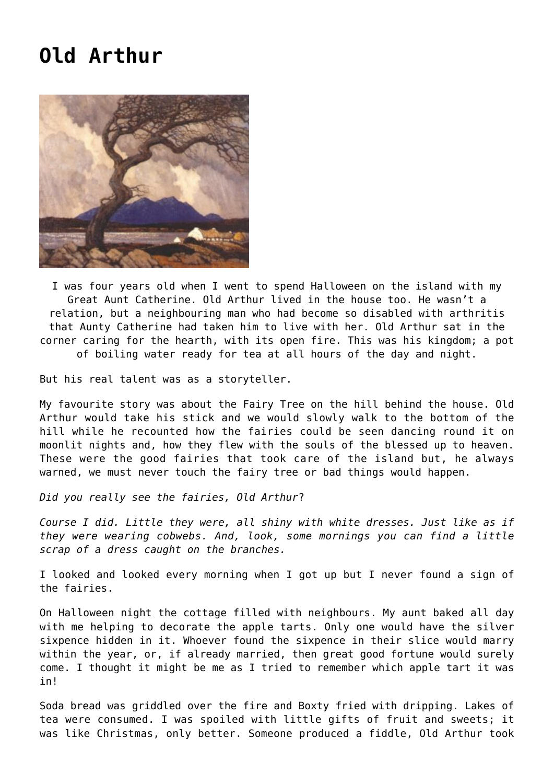## **[Old Arthur](https://corncrakemagazine.com/article/old-arthur/)**



I was four years old when I went to spend Halloween on the island with my Great Aunt Catherine. Old Arthur lived in the house too. He wasn't a relation, but a neighbouring man who had become so disabled with arthritis that Aunty Catherine had taken him to live with her. Old Arthur sat in the corner caring for the hearth, with its open fire. This was his kingdom; a pot of boiling water ready for tea at all hours of the day and night.

But his real talent was as a storyteller.

My favourite story was about the Fairy Tree on the hill behind the house. Old Arthur would take his stick and we would slowly walk to the bottom of the hill while he recounted how the fairies could be seen dancing round it on moonlit nights and, how they flew with the souls of the blessed up to heaven. These were the good fairies that took care of the island but, he always warned, we must never touch the fairy tree or bad things would happen.

*Did you really see the fairies, Old Arthur*?

*Course I did. Little they were, all shiny with white dresses. Just like as if they were wearing cobwebs. And, look, some mornings you can find a little scrap of a dress caught on the branches.*

I looked and looked every morning when I got up but I never found a sign of the fairies.

On Halloween night the cottage filled with neighbours. My aunt baked all day with me helping to decorate the apple tarts. Only one would have the silver sixpence hidden in it. Whoever found the sixpence in their slice would marry within the year, or, if already married, then great good fortune would surely come. I thought it might be me as I tried to remember which apple tart it was in!

Soda bread was griddled over the fire and Boxty fried with dripping. Lakes of tea were consumed. I was spoiled with little gifts of fruit and sweets; it was like Christmas, only better. Someone produced a fiddle, Old Arthur took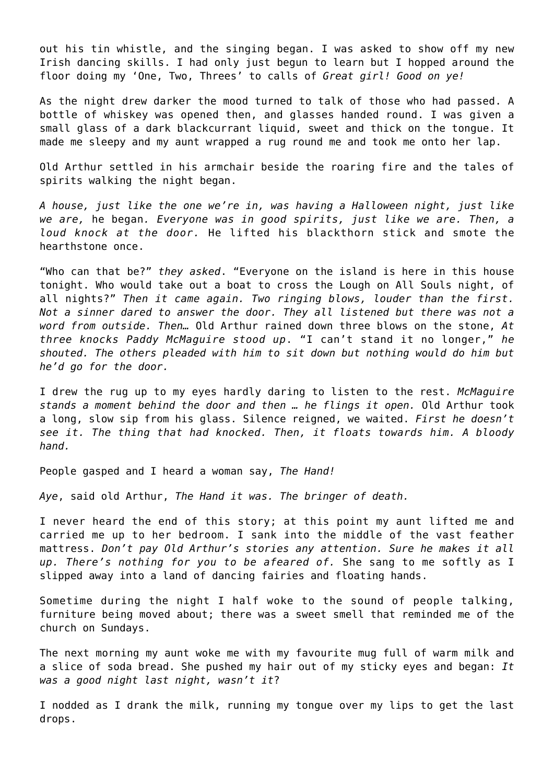out his tin whistle, and the singing began. I was asked to show off my new Irish dancing skills. I had only just begun to learn but I hopped around the floor doing my 'One, Two, Threes' to calls of *Great girl! Good on ye!*

As the night drew darker the mood turned to talk of those who had passed. A bottle of whiskey was opened then, and glasses handed round. I was given a small glass of a dark blackcurrant liquid, sweet and thick on the tongue. It made me sleepy and my aunt wrapped a rug round me and took me onto her lap.

Old Arthur settled in his armchair beside the roaring fire and the tales of spirits walking the night began.

*A house, just like the one we're in, was having a Halloween night, just like we are,* he began*. Everyone was in good spirits, just like we are. Then, a loud knock at the door.* He lifted his blackthorn stick and smote the hearthstone once.

"Who can that be?" *they asked*. "Everyone on the island is here in this house tonight. Who would take out a boat to cross the Lough on All Souls night, of all nights?" *Then it came again. Two ringing blows, louder than the first. Not a sinner dared to answer the door. They all listened but there was not a word from outside. Then…* Old Arthur rained down three blows on the stone, *At three knocks Paddy McMaguire stood up*. "I can't stand it no longer," *he shouted. The others pleaded with him to sit down but nothing would do him but he'd go for the door.*

I drew the rug up to my eyes hardly daring to listen to the rest. *McMaguire stands a moment behind the door and then … he flings it open.* Old Arthur took a long, slow sip from his glass. Silence reigned, we waited. *First he doesn't see it. The thing that had knocked. Then, it floats towards him. A bloody hand.*

People gasped and I heard a woman say, *The Hand!*

*Aye*, said old Arthur, *The Hand it was. The bringer of death.*

I never heard the end of this story; at this point my aunt lifted me and carried me up to her bedroom. I sank into the middle of the vast feather mattress. *Don't pay Old Arthur's stories any attention. Sure he makes it all up. There's nothing for you to be afeared of.* She sang to me softly as I slipped away into a land of dancing fairies and floating hands.

Sometime during the night I half woke to the sound of people talking, furniture being moved about; there was a sweet smell that reminded me of the church on Sundays.

The next morning my aunt woke me with my favourite mug full of warm milk and a slice of soda bread. She pushed my hair out of my sticky eyes and began: *It was a good night last night, wasn't it*?

I nodded as I drank the milk, running my tongue over my lips to get the last drops.